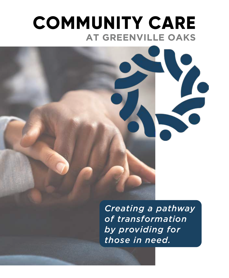### **COMMUNITY CARE AT GREENVILLE OAKS**

*Creating a pathway of transformation by providing for those in need.*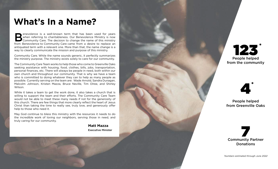## **What's In a Name?**

Supervolence is a well-known term that has been used for years<br>
When referring to charitableness. Our Benevolence Ministry is now<br>
Community Care. The decision to change the name of this ministry<br>
From Benevolence to Commu when referring to charitableness. Our Benevolence Ministry is now Community Care. The decision to change the name of this ministry from Benevolence to Community Care came from a desire to replace an antiquated term with a relevant one. More than that, the name change is a way to clearly communicate the mission and purpose of this ministry.

Community Care. While the name sounds generic, it perfectly summarizes the ministry purpose. The ministry exists solely to care for our community.

The Community Care Team works to help those who come to Greenville Oaks seeking assistance with housing, food, clothes, bills, jobs, transportation, personal finances, etc. There will always be people in need, both within our own church and throughout our community. That is why we have a team who is committed to doing whatever they can to help as many people as possible. Currently serving on the team are: Wade Arnold, Sandra Dunagan, Malcolm Johnson, Kristen Mazza, Bruce Neville, Tim Olree, and Shirley Wilson.

While it takes a team to get the work done, it also takes a church that is willing to support the team and their efforts. The Community Care Team would not be able to meet these many needs if not for the generosity of this church. There are few things that more clearly reflect the heart of Jesus Christ than taking the time to really see, truly love, and generously offer help to those who need it.

May God continue to bless this ministry with the resources it needs to do the incredible work of loving our neighbors, serving those in need, and truly caring for our community.

> **Matt Mazza** Executive Minister





People helped from Greenville Oaks

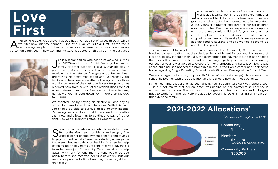# **Love First**



At Greenville Oaks, we believe that God has given us a set of values through which we filter how ministry happens. One of our values is **Love First**. As we focus on inspiring people to follow Jesus, we love because Jesus l we filter how ministry happens. One of our values is Love First. As we focus person on earth. Learn how Community Care has acted on this value in the past year.



Joe is a senior citizen with health issues who is living<br>on \$1,139/month from Social Security. He has no<br>family or other support (just a 15-year-old dog in oe is a senior citizen with health issues who is living on \$1,139/month from Social Security. He has no poor health). Joe is frustrated that he cannot continue receiving rent assistance if he gets a job. He had been prioritizing his dog's medication and just recently got back on his heart medicine after not being on it for three months because of the cost. Joe is very frugal and has received help from several other organizations (one of whom referred him to us). Even on his minimal income, he has worked his debt down from more than \$12,000 to \$6,000.

We assisted Joe by paying his electric bill and paying off his two small credit card balances. With this help, Joe should be able to survive on his meager income. Removing two credit card debts improved his monthly cash flow and allows him to continue to pay off other debt. Joe was extremely grateful to Greenville Oaks!



Susan is a nurse who was unable to work for about<br>Sused all of her unemployment benefits and savings<br>to pay for modical bills model with the property of the property of the property of the property of the proper<br>in the pro 18 months after health problems and surgery. She U used all of her unemployment benefits and savings to pay for medical bills. Susan was starting a new job in two weeks, but was behind on her bills. She needed help catching up on payments until she received paychecks from her new job. Community Care was able to help Susan with rent for one month. Rent would be due again before she received her first paycheck, but our assistance provided a little breathing room to get back on her feet.



Julia was referred to us by one of our members who<br>works at a local school. She is a single grandmother<br>who moved back to Texas to take care of her five ulia was referred to us by one of our members who works at a local school. She is a single grandmother grandsons when both their parents were incarcerated. Julia's younger daughter and three of her six children also live with her. Due to a bad experience at a daycare with the one-year-old child, Julia's younger daughter is not employed. Therefore, Julia is the sole financial support for her family. Julia works full-time as a manager at a fast food restaurant (and also worked a second job until late last year).

Julia was grateful for any help we could provide. The Community Care Team was so touched by her situation that they decided to provide rent for two months instead of just one. To stay in touch with Julia, the team spread the payments out (as she needed them) over three months. Julia was at our building to pick up one of the checks during our coat drive and was able to take coats for her grandsons and herself. While she was at the building, she noticed the brochures in the Faith@Home center and took some home regarding Single Parenting, Special Needs Kids, and Dealing with a Difficult Teen.

We encouraged Julia to sign up for SNAP benefits (food stamps). Someone at the school helped her with the application and she should now get those benefits.

In the meantime, the car she had been driving (Julia's daughter's car) was repossessed. Julia did not realize that her daughter was behind on her payments so now she is without transportation. The bus picks up the grandchildren for school and Julia gets rides to work from friends. Help provided by Greenville Oaks is making an impact on this extended family!

## **2021-2022 Allocations\***

*\* Estimated through June 2022*



**Community** \$58,577

Members \$32,500 *(includes #ForCollinCounty)*

Community Partners \$60,000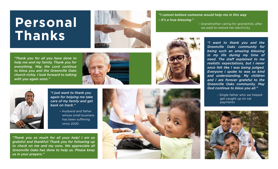## **Personal Thanks**



- *"I cannot believe someone would help me in this way - it's a true blessing."* 
	- Grandmother caring for grandchild, after we paid to restore her electricity

*"Thank you for all you have done to help me and my family. Thank you for everything. May the Lord continue to bless you and the Greenville Oaks church richly. I look forward to talking with you again soon."*





- *"I just want to thank you again for helping me take care of my family and get back on track."*
	- Husband and father whose small business has been suffering since 2020

*"Thank you so much for all your help! I am so grateful and thankful! Thank you for following up to check on me and my sons. We appreciate all Greenville Oaks has done to help us. Please keep us in your prayers."*





*"I want to thank you and the Greenville Oaks community for being such an amazing blessing in my life during my time of need. The staff explained to me realistic expectations, but I never once felt like I was being judged. Everyone I spoke to was so kind and understanding. My children and I are forever grateful to the Greenville Oaks community. May God continue to bless you all."* 

> - Single father who we helped get caught up on car payments